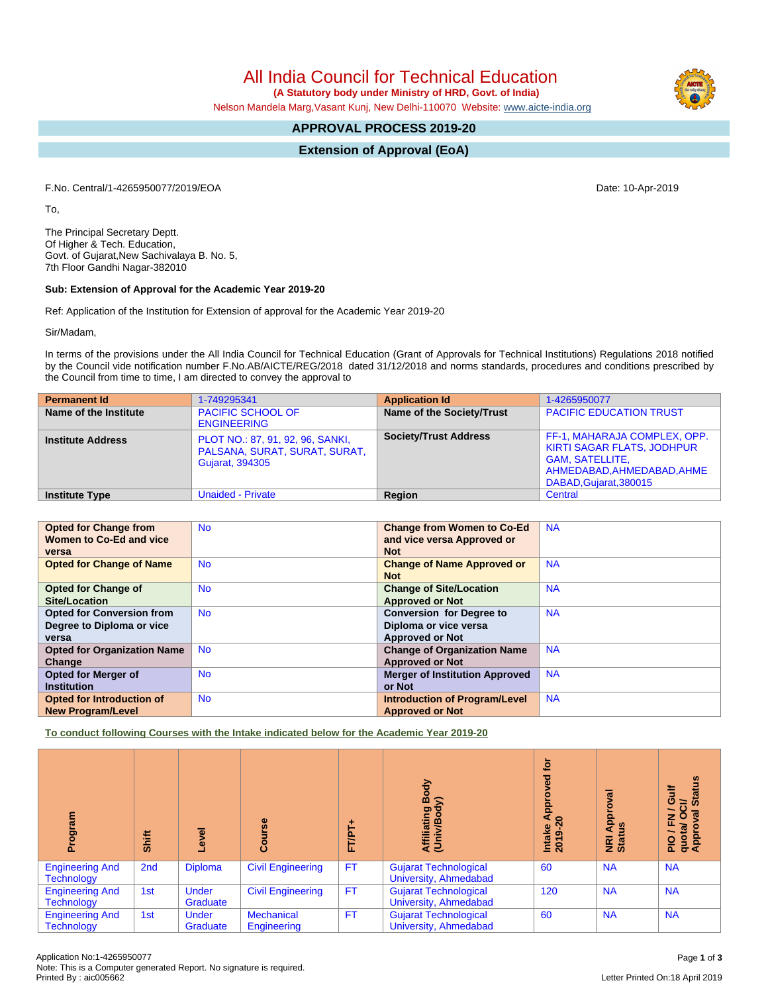All India Council for Technical Education

 **(A Statutory body under Ministry of HRD, Govt. of India)**

Nelson Mandela Marg,Vasant Kunj, New Delhi-110070 Website: [www.aicte-india.org](http://www.aicte-india.org)

## **APPROVAL PROCESS 2019-20**

**Extension of Approval (EoA)**

F.No. Central/1-4265950077/2019/EOA Date: 10-Apr-2019

To,

The Principal Secretary Deptt. Of Higher & Tech. Education, Govt. of Gujarat,New Sachivalaya B. No. 5, 7th Floor Gandhi Nagar-382010

## **Sub: Extension of Approval for the Academic Year 2019-20**

Ref: Application of the Institution for Extension of approval for the Academic Year 2019-20

Sir/Madam,

In terms of the provisions under the All India Council for Technical Education (Grant of Approvals for Technical Institutions) Regulations 2018 notified by the Council vide notification number F.No.AB/AICTE/REG/2018 dated 31/12/2018 and norms standards, procedures and conditions prescribed by the Council from time to time, I am directed to convey the approval to

| <b>Permanent Id</b>      | 1-749295341                                                                                 | <b>Application Id</b>        | 1-4265950077                                                                                                                                        |
|--------------------------|---------------------------------------------------------------------------------------------|------------------------------|-----------------------------------------------------------------------------------------------------------------------------------------------------|
| Name of the Institute    | <b>PACIFIC SCHOOL OF</b><br><b>ENGINEERING</b>                                              | Name of the Society/Trust    | <b>PACIFIC EDUCATION TRUST</b>                                                                                                                      |
| <b>Institute Address</b> | PLOT NO.: 87, 91, 92, 96, SANKI,<br>PALSANA, SURAT, SURAT, SURAT,<br><b>Gujarat, 394305</b> | <b>Society/Trust Address</b> | FF-1, MAHARAJA COMPLEX, OPP.<br><b>KIRTI SAGAR FLATS, JODHPUR</b><br><b>GAM, SATELLITE,</b><br>AHMEDABAD, AHMEDABAD, AHME<br>DABAD, Gujarat, 380015 |
| <b>Institute Type</b>    | <b>Unaided - Private</b>                                                                    | Region                       | Central                                                                                                                                             |

| <b>Opted for Change from</b><br>Women to Co-Ed and vice | <b>No</b> | <b>Change from Women to Co-Ed</b><br>and vice versa Approved or | <b>NA</b> |
|---------------------------------------------------------|-----------|-----------------------------------------------------------------|-----------|
| versa                                                   |           | <b>Not</b>                                                      |           |
| <b>Opted for Change of Name</b>                         | <b>No</b> | <b>Change of Name Approved or</b>                               | <b>NA</b> |
|                                                         |           | <b>Not</b>                                                      |           |
| <b>Opted for Change of</b>                              | <b>No</b> | <b>Change of Site/Location</b>                                  | <b>NA</b> |
| <b>Site/Location</b>                                    |           | <b>Approved or Not</b>                                          |           |
| <b>Opted for Conversion from</b>                        | <b>No</b> | <b>Conversion for Degree to</b>                                 | <b>NA</b> |
| Degree to Diploma or vice                               |           | Diploma or vice versa                                           |           |
| versa                                                   |           | <b>Approved or Not</b>                                          |           |
| <b>Opted for Organization Name</b>                      | <b>No</b> | <b>Change of Organization Name</b>                              | <b>NA</b> |
| Change                                                  |           | <b>Approved or Not</b>                                          |           |
| <b>Opted for Merger of</b>                              | <b>No</b> | <b>Merger of Institution Approved</b>                           | <b>NA</b> |
| <b>Institution</b>                                      |           | or Not                                                          |           |
| Opted for Introduction of                               | <b>No</b> | <b>Introduction of Program/Level</b>                            | <b>NA</b> |
| <b>New Program/Level</b>                                |           | <b>Approved or Not</b>                                          |           |

**To conduct following Courses with the Intake indicated below for the Academic Year 2019-20**

| rogram<br>ā                                 | Shift | g<br>ٯ                   | urse<br>న్రే                     | FTPT+     | Body<br>$\widehat{\ge}$<br>Affiliating<br>(Univ/Body  | tor<br>್ಠಾ<br>ppro<br>⋖<br>$\bullet$<br>$9-2$<br>Intake<br>2019-2 | $\overline{g}$<br>ō<br>윤<br>9ű<br>$\blacktriangleleft$<br>NRI<br>Stat | <b>Status</b><br>ŧ<br>ဖ<br>ಕ<br>∽<br>$\overline{\mathbf{a}}$<br>O<br>z<br>Œ,<br>quota/<br>Approv<br>∽<br>$\frac{1}{2}$ |
|---------------------------------------------|-------|--------------------------|----------------------------------|-----------|-------------------------------------------------------|-------------------------------------------------------------------|-----------------------------------------------------------------------|------------------------------------------------------------------------------------------------------------------------|
| <b>Engineering And</b><br><b>Technology</b> | 2nd   | <b>Diploma</b>           | <b>Civil Engineering</b>         | <b>FT</b> | <b>Gujarat Technological</b><br>University, Ahmedabad | 60                                                                | <b>NA</b>                                                             | <b>NA</b>                                                                                                              |
| <b>Engineering And</b><br><b>Technology</b> | 1st   | <b>Under</b><br>Graduate | <b>Civil Engineering</b>         | <b>FT</b> | <b>Gujarat Technological</b><br>University, Ahmedabad | 120                                                               | <b>NA</b>                                                             | <b>NA</b>                                                                                                              |
| <b>Engineering And</b><br><b>Technology</b> | 1st   | <b>Under</b><br>Graduate | <b>Mechanical</b><br>Engineering | <b>FT</b> | <b>Gujarat Technological</b><br>University, Ahmedabad | 60                                                                | <b>NA</b>                                                             | <b>NA</b>                                                                                                              |

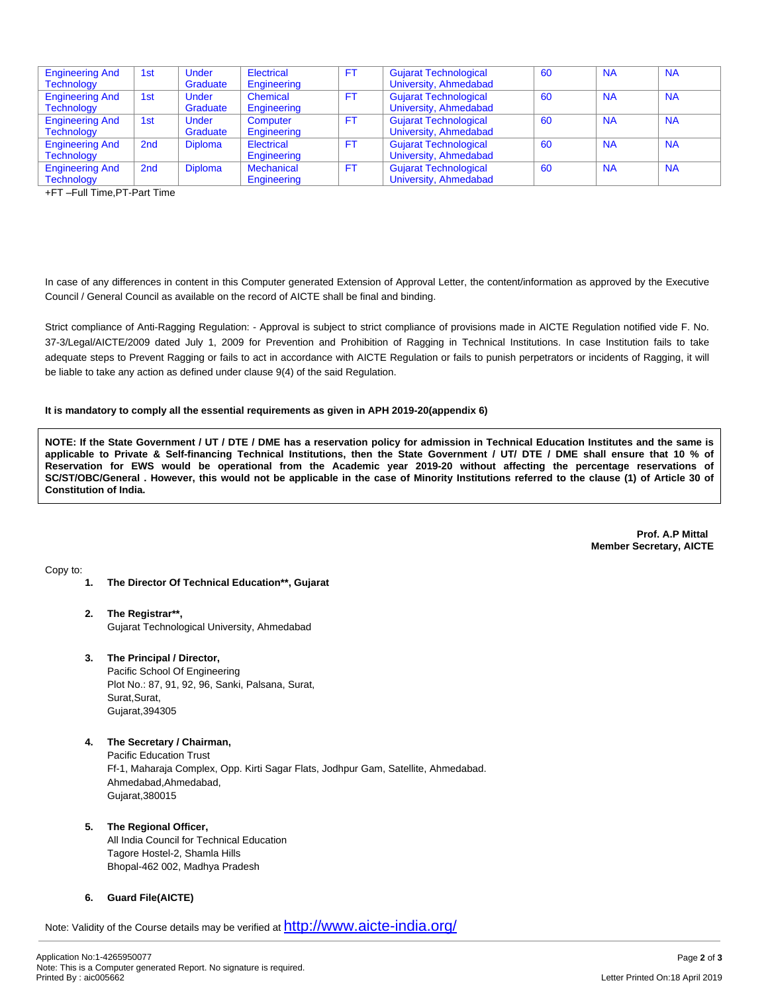| <b>Engineering And</b> | 1st             | <b>Under</b>   | Electrical        | FT.       | <b>Gujarat Technological</b> | 60 | <b>NA</b> | <b>NA</b> |
|------------------------|-----------------|----------------|-------------------|-----------|------------------------------|----|-----------|-----------|
| <b>Technology</b>      |                 | Graduate       | Engineering       |           | University, Ahmedabad        |    |           |           |
| <b>Engineering And</b> | 1st             | <b>Under</b>   | Chemical          | FT.       | <b>Gujarat Technological</b> | 60 | <b>NA</b> | <b>NA</b> |
| <b>Technology</b>      |                 | Graduate       | Engineering       |           | University, Ahmedabad        |    |           |           |
| <b>Engineering And</b> | 1st             | Under          | Computer          | FT.       | <b>Gujarat Technological</b> | 60 | <b>NA</b> | <b>NA</b> |
| <b>Technology</b>      |                 | Graduate       | Engineering       |           | University, Ahmedabad        |    |           |           |
| <b>Engineering And</b> | 2 <sub>nd</sub> | <b>Diploma</b> | Electrical        | <b>FT</b> | <b>Gujarat Technological</b> | 60 | <b>NA</b> | <b>NA</b> |
| <b>Technology</b>      |                 |                | Engineering       |           | University, Ahmedabad        |    |           |           |
| <b>Engineering And</b> | 2 <sub>nd</sub> | <b>Diploma</b> | <b>Mechanical</b> | FT.       | <b>Gujarat Technological</b> | 60 | <b>NA</b> | <b>NA</b> |
| Technology             |                 |                | Engineering       |           | University, Ahmedabad        |    |           |           |

+FT –Full Time,PT-Part Time

In case of any differences in content in this Computer generated Extension of Approval Letter, the content/information as approved by the Executive Council / General Council as available on the record of AICTE shall be final and binding.

Strict compliance of Anti-Ragging Regulation: - Approval is subject to strict compliance of provisions made in AICTE Regulation notified vide F. No. 37-3/Legal/AICTE/2009 dated July 1, 2009 for Prevention and Prohibition of Ragging in Technical Institutions. In case Institution fails to take adequate steps to Prevent Ragging or fails to act in accordance with AICTE Regulation or fails to punish perpetrators or incidents of Ragging, it will be liable to take any action as defined under clause 9(4) of the said Regulation.

## **It is mandatory to comply all the essential requirements as given in APH 2019-20(appendix 6)**

NOTE: If the State Government / UT / DTE / DME has a reservation policy for admission in Technical Education Institutes and the same is applicable to Private & Self-financing Technical Institutions, then the State Government / UT/ DTE / DME shall ensure that 10 % of Reservation for EWS would be operational from the Academic year 2019-20 without affecting the percentage reservations of SC/ST/OBC/General . However, this would not be applicable in the case of Minority Institutions referred to the clause (1) of Article 30 of **Constitution of India.**

> **Prof. A.P Mittal Member Secretary, AICTE**

Copy to:

- **1. The Director Of Technical Education\*\*, Gujarat**
- **2. The Registrar\*\*,** Gujarat Technological University, Ahmedabad
- **3. The Principal / Director,**

Pacific School Of Engineering Plot No.: 87, 91, 92, 96, Sanki, Palsana, Surat, Surat,Surat, Gujarat,394305

- **4. The Secretary / Chairman,** Pacific Education Trust Ff-1, Maharaja Complex, Opp. Kirti Sagar Flats, Jodhpur Gam, Satellite, Ahmedabad. Ahmedabad,Ahmedabad, Gujarat,380015
- **5. The Regional Officer,**

All India Council for Technical Education Tagore Hostel-2, Shamla Hills Bhopal-462 002, Madhya Pradesh

**6. Guard File(AICTE)**

Note: Validity of the Course details may be verified at <http://www.aicte-india.org/>